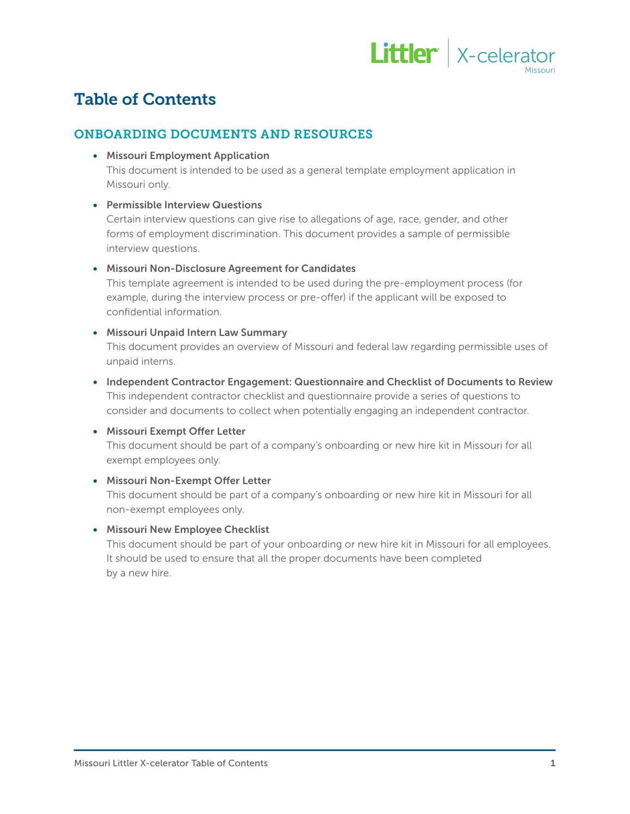

# Table of Contents

### ONBOARDING DOCUMENTS AND RESOURCES

• Missouri Employment Application

This document is intended to be used as a general template employment application in Missouri only.

#### • Permissible Interview Questions

Certain interview questions can give rise to allegations of age, race, gender, and other forms of employment discrimination. This document provides a sample of permissible interview questions.

#### • Missouri Non-Disclosure Agreement for Candidates

This template agreement is intended to be used during the pre-employment process (for example, during the interview process or pre-offer) if the applicant will be exposed to confidential information.

#### • Missouri Unpaid Intern Law Summary

This document provides an overview of Missouri and federal law regarding permissible uses of unpaid interns.

• Independent Contractor Engagement: Questionnaire and Checklist of Documents to Review This independent contractor checklist and questionnaire provide a series of questions to consider and documents to collect when potentially engaging an independent contractor.

#### • Missouri Exempt Offer Letter

This document should be part of a company's onboarding or new hire kit in Missouri for all exempt employees only.

#### • Missouri Non-Exempt Offer Letter

This document should be part of a company's onboarding or new hire kit in Missouri for all non-exempt employees only.

#### • Missouri New Employee Checklist

This document should be part of your onboarding or new hire kit in Missouri for all employees. It should be used to ensure that all the proper documents have been completed by a new hire.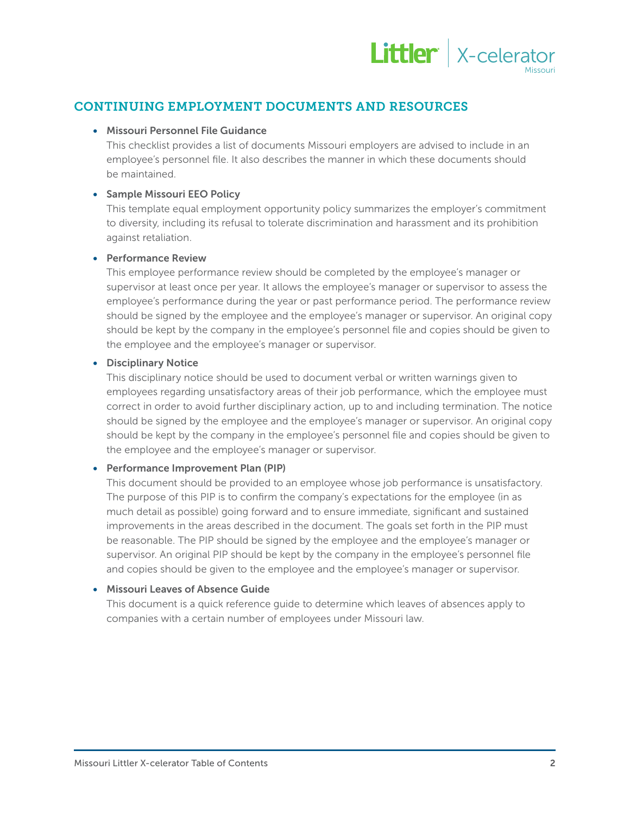

# CONTINUING EMPLOYMENT DOCUMENTS AND RESOURCES

#### • Missouri Personnel File Guidance

This checklist provides a list of documents Missouri employers are advised to include in an employee's personnel file. It also describes the manner in which these documents should be maintained.

#### • Sample Missouri EEO Policy

This template equal employment opportunity policy summarizes the employer's commitment to diversity, including its refusal to tolerate discrimination and harassment and its prohibition against retaliation.

#### • Performance Review

This employee performance review should be completed by the employee's manager or supervisor at least once per year. It allows the employee's manager or supervisor to assess the employee's performance during the year or past performance period. The performance review should be signed by the employee and the employee's manager or supervisor. An original copy should be kept by the company in the employee's personnel file and copies should be given to the employee and the employee's manager or supervisor.

#### • Disciplinary Notice

This disciplinary notice should be used to document verbal or written warnings given to employees regarding unsatisfactory areas of their job performance, which the employee must correct in order to avoid further disciplinary action, up to and including termination. The notice should be signed by the employee and the employee's manager or supervisor. An original copy should be kept by the company in the employee's personnel file and copies should be given to the employee and the employee's manager or supervisor.

#### • Performance Improvement Plan (PIP)

This document should be provided to an employee whose job performance is unsatisfactory. The purpose of this PIP is to confirm the company's expectations for the employee (in as much detail as possible) going forward and to ensure immediate, significant and sustained improvements in the areas described in the document. The goals set forth in the PIP must be reasonable. The PIP should be signed by the employee and the employee's manager or supervisor. An original PIP should be kept by the company in the employee's personnel file and copies should be given to the employee and the employee's manager or supervisor.

#### • Missouri Leaves of Absence Guide

This document is a quick reference guide to determine which leaves of absences apply to companies with a certain number of employees under Missouri law.